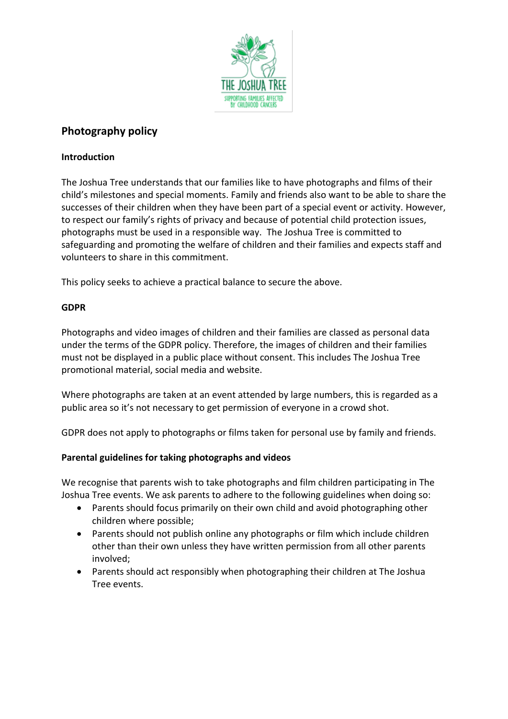

# **Photography policy**

## **Introduction**

The Joshua Tree understands that our families like to have photographs and films of their child's milestones and special moments. Family and friends also want to be able to share the successes of their children when they have been part of a special event or activity. However, to respect our family's rights of privacy and because of potential child protection issues, photographs must be used in a responsible way. The Joshua Tree is committed to safeguarding and promoting the welfare of children and their families and expects staff and volunteers to share in this commitment.

This policy seeks to achieve a practical balance to secure the above.

### **GDPR**

Photographs and video images of children and their families are classed as personal data under the terms of the GDPR policy. Therefore, the images of children and their families must not be displayed in a public place without consent. This includes The Joshua Tree promotional material, social media and website.

Where photographs are taken at an event attended by large numbers, this is regarded as a public area so it's not necessary to get permission of everyone in a crowd shot.

GDPR does not apply to photographs or films taken for personal use by family and friends.

#### **Parental guidelines for taking photographs and videos**

We recognise that parents wish to take photographs and film children participating in The Joshua Tree events. We ask parents to adhere to the following guidelines when doing so:

- Parents should focus primarily on their own child and avoid photographing other children where possible;
- Parents should not publish online any photographs or film which include children other than their own unless they have written permission from all other parents involved;
- Parents should act responsibly when photographing their children at The Joshua Tree events.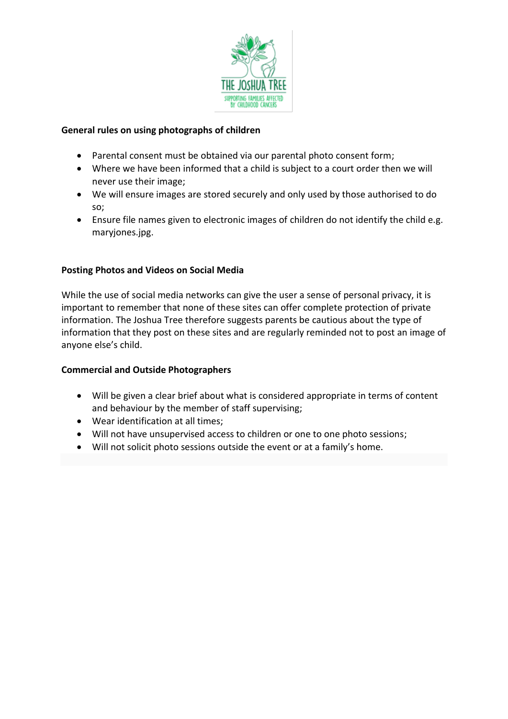

#### **General rules on using photographs of children**

- Parental consent must be obtained via our parental photo consent form;
- Where we have been informed that a child is subject to a court order then we will never use their image;
- We will ensure images are stored securely and only used by those authorised to do so;
- Ensure file names given to electronic images of children do not identify the child e.g. maryjones.jpg.

#### **Posting Photos and Videos on Social Media**

While the use of social media networks can give the user a sense of personal privacy, it is important to remember that none of these sites can offer complete protection of private information. The Joshua Tree therefore suggests parents be cautious about the type of information that they post on these sites and are regularly reminded not to post an image of anyone else's child.

#### **Commercial and Outside Photographers**

- Will be given a clear brief about what is considered appropriate in terms of content and behaviour by the member of staff supervising;
- Wear identification at all times;
- Will not have unsupervised access to children or one to one photo sessions;
- Will not solicit photo sessions outside the event or at a family's home.